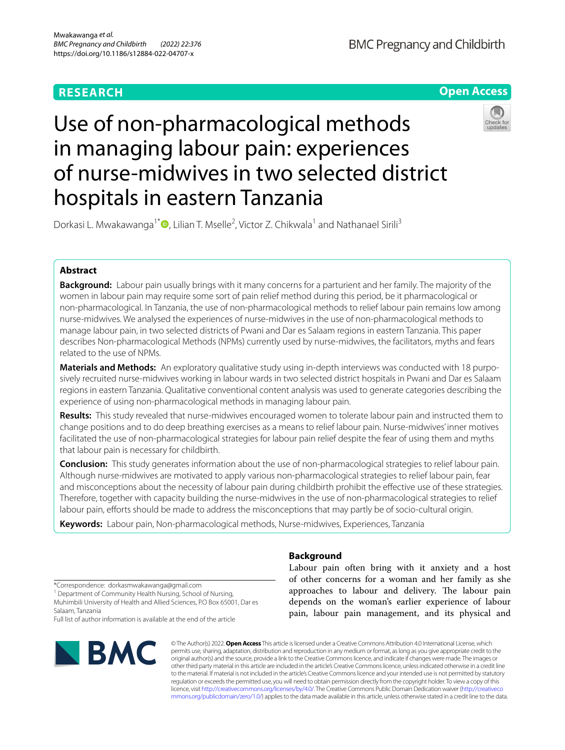# **RESEARCH**

**BMC Pregnancy and Childbirth** 

**Open Access**

# Use of non-pharmacological methods in managing labour pain: experiences of nurse-midwives in two selected district hospitals in eastern Tanzania



Dorkasi L. Mwakawanga<sup>1\*</sup><sup>®</sup>[,](http://orcid.org/0000-0003-0975-4493) Lilian T. Mselle<sup>2</sup>, Victor Z. Chikwala<sup>1</sup> and Nathanael Sirili<sup>3</sup>

# **Abstract**

**Background:** Labour pain usually brings with it many concerns for a parturient and her family. The majority of the women in labour pain may require some sort of pain relief method during this period, be it pharmacological or non-pharmacological. In Tanzania, the use of non-pharmacological methods to relief labour pain remains low among nurse-midwives. We analysed the experiences of nurse-midwives in the use of non-pharmacological methods to manage labour pain, in two selected districts of Pwani and Dar es Salaam regions in eastern Tanzania. This paper describes Non-pharmacological Methods (NPMs) currently used by nurse-midwives, the facilitators, myths and fears related to the use of NPMs.

**Materials and Methods:** An exploratory qualitative study using in-depth interviews was conducted with 18 purposively recruited nurse-midwives working in labour wards in two selected district hospitals in Pwani and Dar es Salaam regions in eastern Tanzania. Qualitative conventional content analysis was used to generate categories describing the experience of using non-pharmacological methods in managing labour pain.

**Results:** This study revealed that nurse-midwives encouraged women to tolerate labour pain and instructed them to change positions and to do deep breathing exercises as a means to relief labour pain. Nurse-midwives' inner motives facilitated the use of non-pharmacological strategies for labour pain relief despite the fear of using them and myths that labour pain is necessary for childbirth.

**Conclusion:** This study generates information about the use of non-pharmacological strategies to relief labour pain. Although nurse-midwives are motivated to apply various non-pharmacological strategies to relief labour pain, fear and misconceptions about the necessity of labour pain during childbirth prohibit the efective use of these strategies. Therefore, together with capacity building the nurse-midwives in the use of non-pharmacological strategies to relief labour pain, efforts should be made to address the misconceptions that may partly be of socio-cultural origin.

**Keywords:** Labour pain, Non-pharmacological methods, Nurse-midwives, Experiences, Tanzania

# **Background**

Labour pain often bring with it anxiety and a host of other concerns for a woman and her family as she approaches to labour and delivery. The labour pain depends on the woman's earlier experience of labour pain, labour pain management, and its physical and

\*Correspondence: dorkasmwakawanga@gmail.com

<sup>1</sup> Department of Community Health Nursing, School of Nursing, Muhimbili University of Health and Allied Sciences, P.O Box 65001, Dar es Salaam, Tanzania

Full list of author information is available at the end of the article



© The Author(s) 2022. **Open Access** This article is licensed under a Creative Commons Attribution 4.0 International License, which permits use, sharing, adaptation, distribution and reproduction in any medium or format, as long as you give appropriate credit to the original author(s) and the source, provide a link to the Creative Commons licence, and indicate if changes were made. The images or other third party material in this article are included in the article's Creative Commons licence, unless indicated otherwise in a credit line to the material. If material is not included in the article's Creative Commons licence and your intended use is not permitted by statutory regulation or exceeds the permitted use, you will need to obtain permission directly from the copyright holder. To view a copy of this licence, visit [http://creativecommons.org/licenses/by/4.0/.](http://creativecommons.org/licenses/by/4.0/) The Creative Commons Public Domain Dedication waiver ([http://creativeco](http://creativecommons.org/publicdomain/zero/1.0/) [mmons.org/publicdomain/zero/1.0/](http://creativecommons.org/publicdomain/zero/1.0/)) applies to the data made available in this article, unless otherwise stated in a credit line to the data.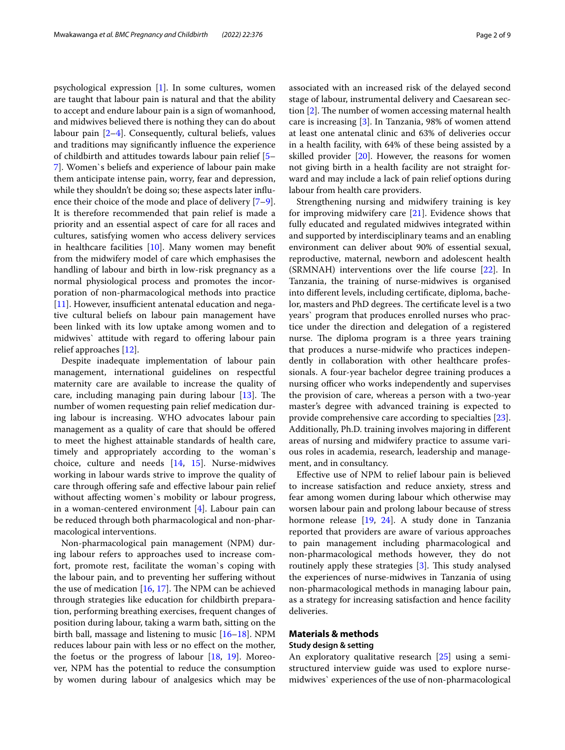psychological expression [\[1](#page-7-0)]. In some cultures, women are taught that labour pain is natural and that the ability to accept and endure labour pain is a sign of womanhood, and midwives believed there is nothing they can do about labour pain [\[2](#page-7-1)[–4](#page-7-2)]. Consequently, cultural beliefs, values and traditions may signifcantly infuence the experience of childbirth and attitudes towards labour pain relief [[5–](#page-7-3) [7\]](#page-7-4). Women`s beliefs and experience of labour pain make them anticipate intense pain, worry, fear and depression, while they shouldn't be doing so; these aspects later infuence their choice of the mode and place of delivery [\[7](#page-7-4)[–9](#page-7-5)]. It is therefore recommended that pain relief is made a priority and an essential aspect of care for all races and cultures, satisfying women who access delivery services in healthcare facilities [\[10](#page-7-6)]. Many women may beneft from the midwifery model of care which emphasises the handling of labour and birth in low-risk pregnancy as a normal physiological process and promotes the incorporation of non-pharmacological methods into practice  $[11]$  $[11]$ . However, insufficient antenatal education and negative cultural beliefs on labour pain management have been linked with its low uptake among women and to midwives' attitude with regard to offering labour pain relief approaches [[12](#page-7-8)].

Despite inadequate implementation of labour pain management, international guidelines on respectful maternity care are available to increase the quality of care, including managing pain during labour  $[13]$  $[13]$  $[13]$ . The number of women requesting pain relief medication during labour is increasing. WHO advocates labour pain management as a quality of care that should be ofered to meet the highest attainable standards of health care, timely and appropriately according to the woman`s choice, culture and needs [[14,](#page-7-10) [15](#page-7-11)]. Nurse-midwives working in labour wards strive to improve the quality of care through offering safe and effective labour pain relief without afecting women`s mobility or labour progress, in a woman-centered environment [\[4\]](#page-7-2). Labour pain can be reduced through both pharmacological and non-pharmacological interventions.

Non-pharmacological pain management (NPM) during labour refers to approaches used to increase comfort, promote rest, facilitate the woman`s coping with the labour pain, and to preventing her sufering without the use of medication  $[16, 17]$  $[16, 17]$  $[16, 17]$  $[16, 17]$ . The NPM can be achieved through strategies like education for childbirth preparation, performing breathing exercises, frequent changes of position during labour, taking a warm bath, sitting on the birth ball, massage and listening to music [\[16](#page-7-12)[–18](#page-7-14)]. NPM reduces labour pain with less or no efect on the mother, the foetus or the progress of labour  $[18, 19]$  $[18, 19]$  $[18, 19]$  $[18, 19]$ . Moreover, NPM has the potential to reduce the consumption by women during labour of analgesics which may be associated with an increased risk of the delayed second stage of labour, instrumental delivery and Caesarean section  $[2]$  $[2]$ . The number of women accessing maternal health care is increasing [[3\]](#page-7-16). In Tanzania, 98% of women attend at least one antenatal clinic and 63% of deliveries occur in a health facility, with 64% of these being assisted by a skilled provider  $[20]$  $[20]$  $[20]$ . However, the reasons for women not giving birth in a health facility are not straight forward and may include a lack of pain relief options during labour from health care providers.

Strengthening nursing and midwifery training is key for improving midwifery care  $[21]$  $[21]$ . Evidence shows that fully educated and regulated midwives integrated within and supported by interdisciplinary teams and an enabling environment can deliver about 90% of essential sexual, reproductive, maternal, newborn and adolescent health (SRMNAH) interventions over the life course [[22\]](#page-7-19). In Tanzania, the training of nurse-midwives is organised into diferent levels, including certifcate, diploma, bachelor, masters and PhD degrees. The certificate level is a two years` program that produces enrolled nurses who practice under the direction and delegation of a registered nurse. The diploma program is a three years training that produces a nurse-midwife who practices independently in collaboration with other healthcare professionals. A four-year bachelor degree training produces a nursing officer who works independently and supervises the provision of care, whereas a person with a two-year master's degree with advanced training is expected to provide comprehensive care according to specialties [\[23](#page-7-20)]. Additionally, Ph.D. training involves majoring in diferent areas of nursing and midwifery practice to assume various roles in academia, research, leadership and management, and in consultancy.

Efective use of NPM to relief labour pain is believed to increase satisfaction and reduce anxiety, stress and fear among women during labour which otherwise may worsen labour pain and prolong labour because of stress hormone release [\[19](#page-7-15), [24\]](#page-7-21). A study done in Tanzania reported that providers are aware of various approaches to pain management including pharmacological and non-pharmacological methods however, they do not routinely apply these strategies  $[3]$  $[3]$ . This study analysed the experiences of nurse-midwives in Tanzania of using non-pharmacological methods in managing labour pain, as a strategy for increasing satisfaction and hence facility deliveries.

### **Materials & methods**

#### **Study design & setting**

An exploratory qualitative research [[25\]](#page-7-22) using a semistructured interview guide was used to explore nursemidwives` experiences of the use of non-pharmacological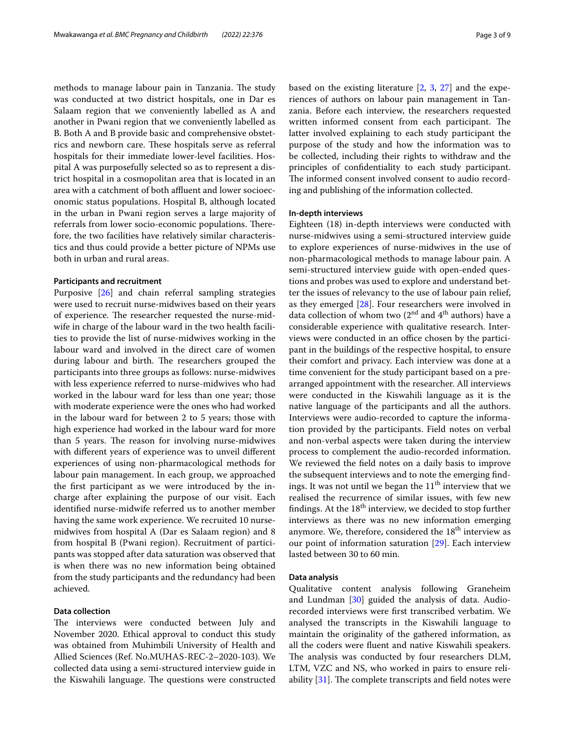methods to manage labour pain in Tanzania. The study was conducted at two district hospitals, one in Dar es Salaam region that we conveniently labelled as A and another in Pwani region that we conveniently labelled as B. Both A and B provide basic and comprehensive obstetrics and newborn care. These hospitals serve as referral hospitals for their immediate lower-level facilities. Hospital A was purposefully selected so as to represent a district hospital in a cosmopolitan area that is located in an area with a catchment of both affluent and lower socioeconomic status populations. Hospital B, although located in the urban in Pwani region serves a large majority of referrals from lower socio-economic populations. Therefore, the two facilities have relatively similar characteristics and thus could provide a better picture of NPMs use both in urban and rural areas.

# **Participants and recruitment**

Purposive [\[26](#page-8-0)] and chain referral sampling strategies were used to recruit nurse-midwives based on their years of experience. The researcher requested the nurse-midwife in charge of the labour ward in the two health facilities to provide the list of nurse-midwives working in the labour ward and involved in the direct care of women during labour and birth. The researchers grouped the participants into three groups as follows: nurse-midwives with less experience referred to nurse-midwives who had worked in the labour ward for less than one year; those with moderate experience were the ones who had worked in the labour ward for between 2 to 5 years; those with high experience had worked in the labour ward for more than 5 years. The reason for involving nurse-midwives with diferent years of experience was to unveil diferent experiences of using non-pharmacological methods for labour pain management. In each group, we approached the frst participant as we were introduced by the incharge after explaining the purpose of our visit. Each identifed nurse-midwife referred us to another member having the same work experience. We recruited 10 nursemidwives from hospital A (Dar es Salaam region) and 8 from hospital B (Pwani region). Recruitment of participants was stopped after data saturation was observed that is when there was no new information being obtained from the study participants and the redundancy had been achieved.

# **Data collection**

The interviews were conducted between July and November 2020. Ethical approval to conduct this study was obtained from Muhimbili University of Health and Allied Sciences (Ref. No.MUHAS-REC-2–2020-103). We collected data using a semi-structured interview guide in the Kiswahili language. The questions were constructed based on the existing literature [\[2](#page-7-1), [3](#page-7-16), [27\]](#page-8-1) and the experiences of authors on labour pain management in Tanzania. Before each interview, the researchers requested written informed consent from each participant. The latter involved explaining to each study participant the purpose of the study and how the information was to be collected, including their rights to withdraw and the principles of confdentiality to each study participant. The informed consent involved consent to audio recording and publishing of the information collected.

# **In‑depth interviews**

Eighteen (18) in-depth interviews were conducted with nurse-midwives using a semi-structured interview guide to explore experiences of nurse-midwives in the use of non-pharmacological methods to manage labour pain. A semi-structured interview guide with open-ended questions and probes was used to explore and understand better the issues of relevancy to the use of labour pain relief, as they emerged [\[28\]](#page-8-2). Four researchers were involved in data collection of whom two  $(2^{nd}$  and  $4^{th}$  authors) have a considerable experience with qualitative research. Interviews were conducted in an office chosen by the participant in the buildings of the respective hospital, to ensure their comfort and privacy. Each interview was done at a time convenient for the study participant based on a prearranged appointment with the researcher. All interviews were conducted in the Kiswahili language as it is the native language of the participants and all the authors. Interviews were audio-recorded to capture the information provided by the participants. Field notes on verbal and non-verbal aspects were taken during the interview process to complement the audio-recorded information. We reviewed the feld notes on a daily basis to improve the subsequent interviews and to note the emerging fndings. It was not until we began the  $11<sup>th</sup>$  interview that we realised the recurrence of similar issues, with few new findings. At the  $18<sup>th</sup>$  interview, we decided to stop further interviews as there was no new information emerging anymore. We, therefore, considered the 18<sup>th</sup> interview as our point of information saturation [\[29](#page-8-3)]. Each interview lasted between 30 to 60 min.

## **Data analysis**

Qualitative content analysis following Graneheim and Lundman [\[30\]](#page-8-4) guided the analysis of data. Audiorecorded interviews were frst transcribed verbatim. We analysed the transcripts in the Kiswahili language to maintain the originality of the gathered information, as all the coders were fuent and native Kiswahili speakers. The analysis was conducted by four researchers DLM, LTM, VZC and NS, who worked in pairs to ensure reliability  $[31]$  $[31]$ . The complete transcripts and field notes were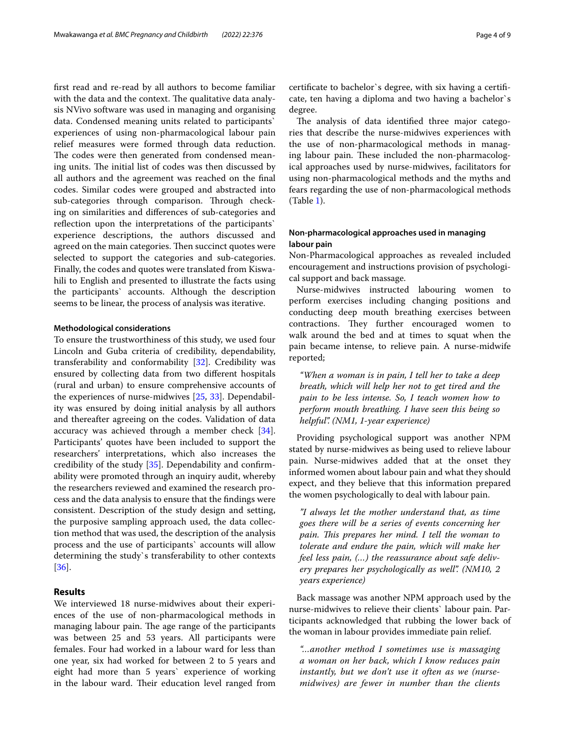frst read and re-read by all authors to become familiar with the data and the context. The qualitative data analysis NVivo software was used in managing and organising data. Condensed meaning units related to participants` experiences of using non-pharmacological labour pain relief measures were formed through data reduction. The codes were then generated from condensed meaning units. The initial list of codes was then discussed by all authors and the agreement was reached on the fnal codes. Similar codes were grouped and abstracted into sub-categories through comparison. Through checking on similarities and diferences of sub-categories and reflection upon the interpretations of the participants` experience descriptions, the authors discussed and agreed on the main categories. Then succinct quotes were selected to support the categories and sub-categories. Finally, the codes and quotes were translated from Kiswahili to English and presented to illustrate the facts using the participants` accounts. Although the description seems to be linear, the process of analysis was iterative.

## **Methodological considerations**

To ensure the trustworthiness of this study, we used four Lincoln and Guba criteria of credibility, dependability, transferability and conformability [[32](#page-8-6)]. Credibility was ensured by collecting data from two diferent hospitals (rural and urban) to ensure comprehensive accounts of the experiences of nurse-midwives [\[25](#page-7-22), [33](#page-8-7)]. Dependability was ensured by doing initial analysis by all authors and thereafter agreeing on the codes. Validation of data accuracy was achieved through a member check [\[34](#page-8-8)]. Participants' quotes have been included to support the researchers' interpretations, which also increases the credibility of the study [\[35\]](#page-8-9). Dependability and confrmability were promoted through an inquiry audit, whereby the researchers reviewed and examined the research process and the data analysis to ensure that the fndings were consistent. Description of the study design and setting, the purposive sampling approach used, the data collection method that was used, the description of the analysis process and the use of participants` accounts will allow determining the study`s transferability to other contexts [[36\]](#page-8-10).

## **Results**

We interviewed 18 nurse-midwives about their experiences of the use of non-pharmacological methods in managing labour pain. The age range of the participants was between 25 and 53 years. All participants were females. Four had worked in a labour ward for less than one year, six had worked for between 2 to 5 years and eight had more than 5 years` experience of working in the labour ward. Their education level ranged from certifcate to bachelor`s degree, with six having a certifcate, ten having a diploma and two having a bachelor`s degree.

The analysis of data identified three major categories that describe the nurse-midwives experiences with the use of non-pharmacological methods in managing labour pain. These included the non-pharmacological approaches used by nurse-midwives, facilitators for using non-pharmacological methods and the myths and fears regarding the use of non-pharmacological methods (Table [1\)](#page-4-0).

# **Non‑pharmacological approaches used in managing labour pain**

Non-Pharmacological approaches as revealed included encouragement and instructions provision of psychological support and back massage.

Nurse-midwives instructed labouring women to perform exercises including changing positions and conducting deep mouth breathing exercises between contractions. They further encouraged women to walk around the bed and at times to squat when the pain became intense, to relieve pain. A nurse-midwife reported;

*"When a woman is in pain, I tell her to take a deep breath, which will help her not to get tired and the pain to be less intense. So, I teach women how to perform mouth breathing. I have seen this being so helpful". (NM1, 1-year experience)*

Providing psychological support was another NPM stated by nurse-midwives as being used to relieve labour pain. Nurse-midwives added that at the onset they informed women about labour pain and what they should expect, and they believe that this information prepared the women psychologically to deal with labour pain.

*"I always let the mother understand that, as time goes there will be a series of events concerning her pain. Tis prepares her mind. I tell the woman to tolerate and endure the pain, which will make her feel less pain, (…) the reassurance about safe delivery prepares her psychologically as well". (NM10, 2 years experience)*

Back massage was another NPM approach used by the nurse-midwives to relieve their clients` labour pain. Participants acknowledged that rubbing the lower back of the woman in labour provides immediate pain relief.

*"…another method I sometimes use is massaging a woman on her back, which I know reduces pain instantly, but we don't use it often as we (nursemidwives) are fewer in number than the clients*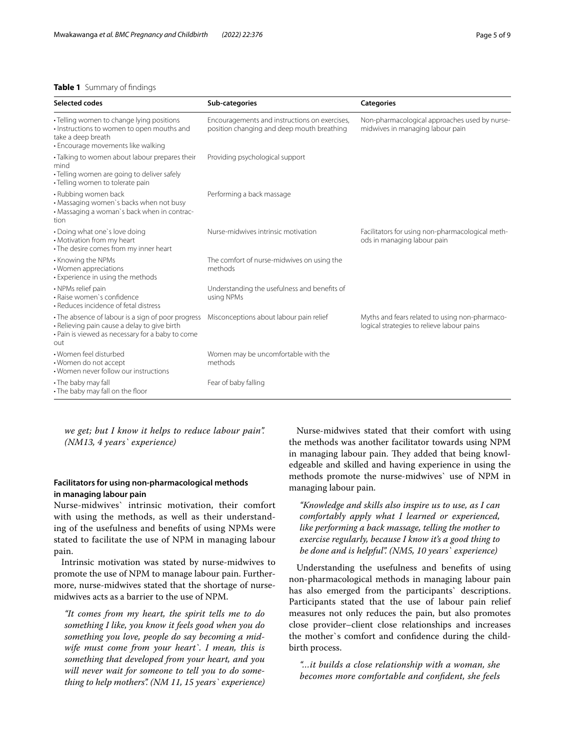# <span id="page-4-0"></span>**Table 1** Summary of fndings

| Selected codes                                                                                                                                                | Sub-categories                                                                              | <b>Categories</b>                                                                            |
|---------------------------------------------------------------------------------------------------------------------------------------------------------------|---------------------------------------------------------------------------------------------|----------------------------------------------------------------------------------------------|
| • Telling women to change lying positions<br>· Instructions to women to open mouths and<br>take a deep breath<br>• Encourage movements like walking           | Encouragements and instructions on exercises,<br>position changing and deep mouth breathing | Non-pharmacological approaches used by nurse-<br>midwives in managing labour pain            |
| · Talking to women about labour prepares their<br>mind<br>• Telling women are going to deliver safely<br>• Telling women to tolerate pain                     | Providing psychological support                                                             |                                                                                              |
| • Rubbing women back<br>• Massaging women's backs when not busy<br>• Massaging a woman's back when in contrac-<br>tion                                        | Performing a back massage                                                                   |                                                                                              |
| • Doing what one's love doing<br>• Motivation from my heart<br>• The desire comes from my inner heart                                                         | Nurse-midwives intrinsic motivation                                                         | Facilitators for using non-pharmacological meth-<br>ods in managing labour pain              |
| • Knowing the NPMs<br>• Women appreciations<br>• Experience in using the methods                                                                              | The comfort of nurse-midwives on using the<br>methods                                       |                                                                                              |
| • NPMs relief pain<br>· Raise women's confidence<br>• Reduces incidence of fetal distress                                                                     | Understanding the usefulness and benefits of<br>using NPMs                                  |                                                                                              |
| • The absence of labour is a sign of poor progress<br>· Relieving pain cause a delay to give birth<br>• Pain is viewed as necessary for a baby to come<br>out | Misconceptions about labour pain relief                                                     | Myths and fears related to using non-pharmaco-<br>logical strategies to relieve labour pains |
| • Women feel disturbed<br>• Women do not accept<br>• Women never follow our instructions                                                                      | Women may be uncomfortable with the<br>methods                                              |                                                                                              |
| • The baby may fall<br>• The baby may fall on the floor                                                                                                       | Fear of baby falling                                                                        |                                                                                              |

*we get; but I know it helps to reduce labour pain". (NM13, 4 years` experience)*

# **Facilitators for using non‑pharmacological methods in managing labour pain**

Nurse-midwives` intrinsic motivation, their comfort with using the methods, as well as their understanding of the usefulness and benefts of using NPMs were stated to facilitate the use of NPM in managing labour pain.

Intrinsic motivation was stated by nurse-midwives to promote the use of NPM to manage labour pain. Furthermore, nurse-midwives stated that the shortage of nursemidwives acts as a barrier to the use of NPM.

*"It comes from my heart, the spirit tells me to do something I like, you know it feels good when you do something you love, people do say becoming a midwife must come from your heart`. I mean, this is something that developed from your heart, and you will never wait for someone to tell you to do something to help mothers". (NM 11, 15 years` experience)*

Nurse-midwives stated that their comfort with using the methods was another facilitator towards using NPM in managing labour pain. They added that being knowledgeable and skilled and having experience in using the methods promote the nurse-midwives` use of NPM in managing labour pain.

*"Knowledge and skills also inspire us to use, as I can comfortably apply what I learned or experienced, like performing a back massage, telling the mother to exercise regularly, because I know it's a good thing to be done and is helpful". (NM5, 10 years` experience)*

Understanding the usefulness and benefts of using non-pharmacological methods in managing labour pain has also emerged from the participants` descriptions. Participants stated that the use of labour pain relief measures not only reduces the pain, but also promotes close provider–client close relationships and increases the mother`s comfort and confdence during the childbirth process.

*"…it builds a close relationship with a woman, she becomes more comfortable and confdent, she feels*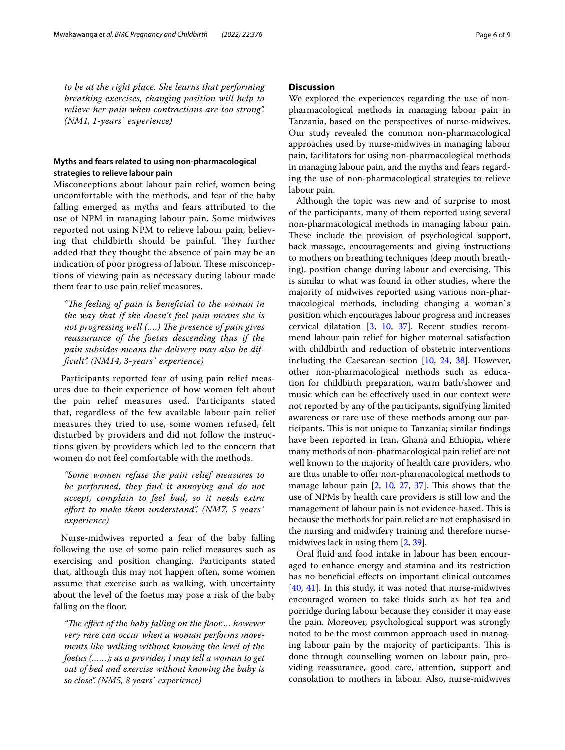*to be at the right place. She learns that performing breathing exercises, changing position will help to relieve her pain when contractions are too strong". (NM1, 1-years` experience)*

# **Myths and fears related to using non‑pharmacological strategies to relieve labour pain**

Misconceptions about labour pain relief, women being uncomfortable with the methods, and fear of the baby falling emerged as myths and fears attributed to the use of NPM in managing labour pain. Some midwives reported not using NPM to relieve labour pain, believing that childbirth should be painful. They further added that they thought the absence of pain may be an indication of poor progress of labour. These misconceptions of viewing pain as necessary during labour made them fear to use pain relief measures.

"The feeling of pain is beneficial to the woman in *the way that if she doesn't feel pain means she is not progressing well (....)* The presence of pain gives *reassurance of the foetus descending thus if the pain subsides means the delivery may also be diffcult". (NM14, 3-years` experience)*

Participants reported fear of using pain relief measures due to their experience of how women felt about the pain relief measures used. Participants stated that, regardless of the few available labour pain relief measures they tried to use, some women refused, felt disturbed by providers and did not follow the instructions given by providers which led to the concern that women do not feel comfortable with the methods.

*"Some women refuse the pain relief measures to be performed, they fnd it annoying and do not accept, complain to feel bad, so it needs extra efort to make them understand". (NM7, 5 years` experience)*

Nurse-midwives reported a fear of the baby falling following the use of some pain relief measures such as exercising and position changing. Participants stated that, although this may not happen often, some women assume that exercise such as walking, with uncertainty about the level of the foetus may pose a risk of the baby falling on the floor.

"The effect of the baby falling on the floor.... however *very rare can occur when a woman performs movements like walking without knowing the level of the foetus (……); as a provider, I may tell a woman to get out of bed and exercise without knowing the baby is so close". (NM5, 8 years` experience)*

# **Discussion**

We explored the experiences regarding the use of nonpharmacological methods in managing labour pain in Tanzania, based on the perspectives of nurse-midwives. Our study revealed the common non-pharmacological approaches used by nurse-midwives in managing labour pain, facilitators for using non-pharmacological methods in managing labour pain, and the myths and fears regarding the use of non-pharmacological strategies to relieve labour pain.

Although the topic was new and of surprise to most of the participants, many of them reported using several non-pharmacological methods in managing labour pain. These include the provision of psychological support, back massage, encouragements and giving instructions to mothers on breathing techniques (deep mouth breathing), position change during labour and exercising. This is similar to what was found in other studies, where the majority of midwives reported using various non-pharmacological methods, including changing a woman`s position which encourages labour progress and increases cervical dilatation [[3,](#page-7-16) [10](#page-7-6), [37](#page-8-11)]. Recent studies recommend labour pain relief for higher maternal satisfaction with childbirth and reduction of obstetric interventions including the Caesarean section [[10,](#page-7-6) [24](#page-7-21), [38](#page-8-12)]. However, other non-pharmacological methods such as education for childbirth preparation, warm bath/shower and music which can be efectively used in our context were not reported by any of the participants, signifying limited awareness or rare use of these methods among our participants. This is not unique to Tanzania; similar findings have been reported in Iran, Ghana and Ethiopia, where many methods of non-pharmacological pain relief are not well known to the majority of health care providers, who are thus unable to offer non-pharmacological methods to manage labour pain  $[2, 10, 27, 37]$  $[2, 10, 27, 37]$  $[2, 10, 27, 37]$  $[2, 10, 27, 37]$  $[2, 10, 27, 37]$  $[2, 10, 27, 37]$  $[2, 10, 27, 37]$  $[2, 10, 27, 37]$ . This shows that the use of NPMs by health care providers is still low and the management of labour pain is not evidence-based. This is because the methods for pain relief are not emphasised in the nursing and midwifery training and therefore nursemidwives lack in using them [[2,](#page-7-1) [39](#page-8-13)].

Oral fuid and food intake in labour has been encouraged to enhance energy and stamina and its restriction has no benefcial efects on important clinical outcomes [[40,](#page-8-14) [41](#page-8-15)]. In this study, it was noted that nurse-midwives encouraged women to take fuids such as hot tea and porridge during labour because they consider it may ease the pain. Moreover, psychological support was strongly noted to be the most common approach used in managing labour pain by the majority of participants. This is done through counselling women on labour pain, providing reassurance, good care, attention, support and consolation to mothers in labour. Also, nurse-midwives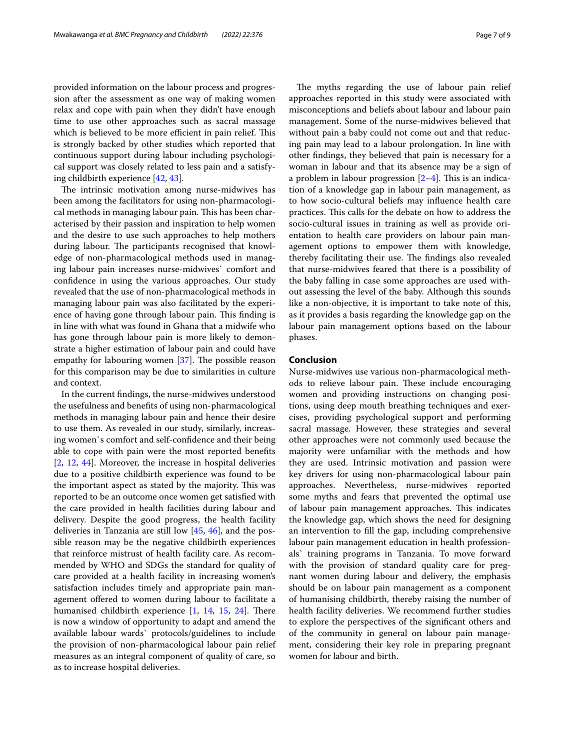provided information on the labour process and progression after the assessment as one way of making women relax and cope with pain when they didn't have enough time to use other approaches such as sacral massage which is believed to be more efficient in pain relief. This is strongly backed by other studies which reported that continuous support during labour including psychological support was closely related to less pain and a satisfying childbirth experience [\[42](#page-8-16), [43](#page-8-17)].

The intrinsic motivation among nurse-midwives has been among the facilitators for using non-pharmacological methods in managing labour pain. This has been characterised by their passion and inspiration to help women and the desire to use such approaches to help mothers during labour. The participants recognised that knowledge of non-pharmacological methods used in managing labour pain increases nurse-midwives` comfort and confdence in using the various approaches. Our study revealed that the use of non-pharmacological methods in managing labour pain was also facilitated by the experience of having gone through labour pain. This finding is in line with what was found in Ghana that a midwife who has gone through labour pain is more likely to demonstrate a higher estimation of labour pain and could have empathy for labouring women  $[37]$  $[37]$ . The possible reason for this comparison may be due to similarities in culture and context.

In the current fndings, the nurse-midwives understood the usefulness and benefts of using non-pharmacological methods in managing labour pain and hence their desire to use them. As revealed in our study, similarly, increasing women`s comfort and self-confdence and their being able to cope with pain were the most reported benefts [[2,](#page-7-1) [12](#page-7-8), [44\]](#page-8-18). Moreover, the increase in hospital deliveries due to a positive childbirth experience was found to be the important aspect as stated by the majority. This was reported to be an outcome once women get satisfed with the care provided in health facilities during labour and delivery. Despite the good progress, the health facility deliveries in Tanzania are still low [\[45](#page-8-19), [46](#page-8-20)], and the possible reason may be the negative childbirth experiences that reinforce mistrust of health facility care. As recommended by WHO and SDGs the standard for quality of care provided at a health facility in increasing women's satisfaction includes timely and appropriate pain management ofered to women during labour to facilitate a humanised childbirth experience  $[1, 14, 15, 24]$  $[1, 14, 15, 24]$  $[1, 14, 15, 24]$  $[1, 14, 15, 24]$  $[1, 14, 15, 24]$  $[1, 14, 15, 24]$  $[1, 14, 15, 24]$  $[1, 14, 15, 24]$  $[1, 14, 15, 24]$ . There is now a window of opportunity to adapt and amend the available labour wards` protocols/guidelines to include the provision of non-pharmacological labour pain relief measures as an integral component of quality of care, so as to increase hospital deliveries.

The myths regarding the use of labour pain relief approaches reported in this study were associated with misconceptions and beliefs about labour and labour pain management. Some of the nurse-midwives believed that without pain a baby could not come out and that reducing pain may lead to a labour prolongation. In line with other fndings, they believed that pain is necessary for a woman in labour and that its absence may be a sign of a problem in labour progression  $[2-4]$  $[2-4]$  $[2-4]$ . This is an indication of a knowledge gap in labour pain management, as to how socio-cultural beliefs may infuence health care practices. This calls for the debate on how to address the socio-cultural issues in training as well as provide orientation to health care providers on labour pain management options to empower them with knowledge, thereby facilitating their use. The findings also revealed that nurse-midwives feared that there is a possibility of the baby falling in case some approaches are used without assessing the level of the baby. Although this sounds like a non-objective, it is important to take note of this, as it provides a basis regarding the knowledge gap on the labour pain management options based on the labour phases.

# **Conclusion**

Nurse-midwives use various non-pharmacological methods to relieve labour pain. These include encouraging women and providing instructions on changing positions, using deep mouth breathing techniques and exercises, providing psychological support and performing sacral massage. However, these strategies and several other approaches were not commonly used because the majority were unfamiliar with the methods and how they are used. Intrinsic motivation and passion were key drivers for using non-pharmacological labour pain approaches. Nevertheless, nurse-midwives reported some myths and fears that prevented the optimal use of labour pain management approaches. This indicates the knowledge gap, which shows the need for designing an intervention to fll the gap, including comprehensive labour pain management education in health professionals` training programs in Tanzania. To move forward with the provision of standard quality care for pregnant women during labour and delivery, the emphasis should be on labour pain management as a component of humanising childbirth, thereby raising the number of health facility deliveries. We recommend further studies to explore the perspectives of the signifcant others and of the community in general on labour pain management, considering their key role in preparing pregnant women for labour and birth.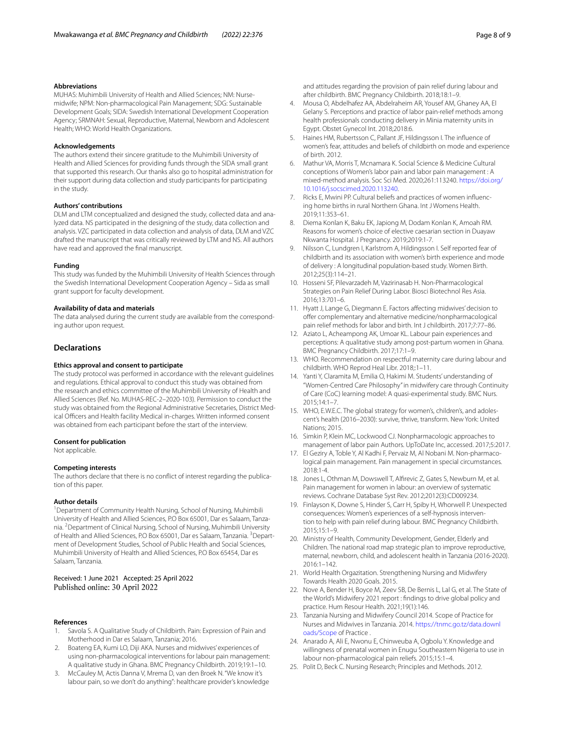MUHAS: Muhimbili University of Health and Allied Sciences; NM: Nursemidwife; NPM: Non-pharmacological Pain Management; SDG: Sustainable Development Goals; SIDA: Swedish International Development Cooperation Agency; SRMNAH: Sexual, Reproductive, Maternal, Newborn and Adolescent Health; WHO: World Health Organizations.

#### **Acknowledgements**

The authors extend their sincere gratitude to the Muhimbili University of Health and Allied Sciences for providing funds through the SIDA small grant that supported this research. Our thanks also go to hospital administration for their support during data collection and study participants for participating in the study.

#### **Authors' contributions**

DLM and LTM conceptualized and designed the study, collected data and analyzed data. NS participated in the designing of the study, data collection and analysis. VZC participated in data collection and analysis of data, DLM and VZC drafted the manuscript that was critically reviewed by LTM and NS. All authors have read and approved the fnal manuscript.

#### **Funding**

This study was funded by the Muhimbili University of Health Sciences through the Swedish International Development Cooperation Agency – Sida as small grant support for faculty development.

#### **Availability of data and materials**

The data analysed during the current study are available from the corresponding author upon request.

# **Declarations**

#### **Ethics approval and consent to participate**

The study protocol was performed in accordance with the relevant guidelines and regulations. Ethical approval to conduct this study was obtained from the research and ethics committee of the Muhimbili University of Health and Allied Sciences (Ref. No. MUHAS-REC-2–2020-103). Permission to conduct the study was obtained from the Regional Administrative Secretaries, District Medical Officers and Health facility Medical in-charges. Written informed consent was obtained from each participant before the start of the interview.

#### **Consent for publication**

Not applicable.

#### **Competing interests**

The authors declare that there is no confict of interest regarding the publication of this paper.

#### **Author details**

<sup>1</sup> Department of Community Health Nursing, School of Nursing, Muhimbili University of Health and Allied Sciences, P.O Box 65001, Dar es Salaam, Tanzania. 2 Department of Clinical Nursing, School of Nursing, Muhimbili University of Health and Allied Sciences, P.O Box 65001, Dar es Salaam, Tanzania. <sup>3</sup> Department of Development Studies, School of Public Health and Social Sciences, Muhimbili University of Health and Allied Sciences, P.O Box 65454, Dar es Salaam, Tanzania.

# Received: 1 June 2021 Accepted: 25 April 2022 Published online: 30 April 2022

#### **References**

- <span id="page-7-0"></span>1. Savola S. A Qualitative Study of Childbirth. Pain: Expression of Pain and Motherhood in Dar es Salaam, Tanzania; 2016.
- <span id="page-7-1"></span>2. Boateng EA, Kumi LO, Diji AKA. Nurses and midwives' experiences of using non-pharmacological interventions for labour pain management: A qualitative study in Ghana. BMC Pregnancy Childbirth. 2019;19:1–10.
- <span id="page-7-16"></span>3. McCauley M, Actis Danna V, Mrema D, van den Broek N. "We know it's labour pain, so we don't do anything": healthcare provider's knowledge
- <span id="page-7-2"></span>4. Mousa O, Abdelhafez AA, Abdelraheim AR, Yousef AM, Ghaney AA, El Gelany S. Perceptions and practice of labor pain-relief methods among health professionals conducting delivery in Minia maternity units in Egypt. Obstet Gynecol Int. 2018;2018:6.
- <span id="page-7-3"></span>5. Haines HM, Rubertsson C, Pallant JF, Hildingsson I. The infuence of women's fear, attitudes and beliefs of childbirth on mode and experience of birth. 2012.
- 6. Mathur VA, Morris T, Mcnamara K. Social Science & Medicine Cultural conceptions of Women's labor pain and labor pain management : A mixed-method analysis. Soc Sci Med. 2020;261:113240. [https://doi.org/](https://doi.org/10.1016/j.socscimed.2020.113240) [10.1016/j.socscimed.2020.113240](https://doi.org/10.1016/j.socscimed.2020.113240).
- <span id="page-7-4"></span>7. Ricks E, Mwini PP. Cultural beliefs and practices of women infuencing home births in rural Northern Ghana. Int J Womens Health. 2019;11:353–61.
- 8. Diema Konlan K, Baku EK, Japiong M, Dodam Konlan K, Amoah RM. Reasons for women's choice of elective caesarian section in Duayaw Nkwanta Hospital. J Pregnancy. 2019;2019:1-7.
- <span id="page-7-5"></span>9. Nilsson C, Lundgren I, Karlstrom A, Hildingsson I. Self reported fear of childbirth and its association with women's birth experience and mode of delivery : A longitudinal population-based study. Women Birth. 2012;25(3):114–21.
- <span id="page-7-6"></span>10. Hosseni SF, Pilevarzadeh M, Vazirinasab H. Non-Pharmacological Strategies on Pain Relief During Labor. Biosci Biotechnol Res Asia. 2016;13:701–6.
- <span id="page-7-7"></span>11. Hyatt J, Lange G, Diegmann E. Factors afecting midwives' decision to offer complementary and alternative medicine/nonpharmacological pain relief methods for labor and birth. Int J childbirth. 2017;7:77–86.
- <span id="page-7-8"></span>12. Aziato L, Acheampong AK, Umoar KL. Labour pain experiences and perceptions: A qualitative study among post-partum women in Ghana. BMC Pregnancy Childbirth. 2017;17:1–9.
- <span id="page-7-9"></span>13. WHO. Recommendation on respectful maternity care during labour and childbirth. WHO Reprod Heal Libr. 2018;:1–11.
- <span id="page-7-10"></span>14. Yanti Y, Claramita M, Emilia O, Hakimi M. Students' understanding of "Women-Centred Care Philosophy" in midwifery care through Continuity of Care (CoC) learning model: A quasi-experimental study. BMC Nurs. 2015;14:1–7.
- <span id="page-7-11"></span>15. WHO, E.W.E.C. The global strategy for women's, children's, and adolescent's health (2016–2030): survive, thrive, transform. New York: United Nations; 2015.
- <span id="page-7-12"></span>16. Simkin P, Klein MC, Lockwood CJ. Nonpharmacologic approaches to management of labor pain Authors. UpToDate Inc, accessed. 2017;5:2017.
- <span id="page-7-13"></span>17. El Geziry A, Toble Y, Al Kadhi F, Pervaiz M, Al Nobani M. Non-pharmacological pain management. Pain management in special circumstances. 2018:1-4.
- <span id="page-7-14"></span>18. Jones L, Othman M, Dowswell T, Alfrevic Z, Gates S, Newburn M, et al. Pain management for women in labour: an overview of systematic reviews. Cochrane Database Syst Rev. 2012;2012(3):CD009234.
- <span id="page-7-15"></span>19. Finlayson K, Downe S, Hinder S, Carr H, Spiby H, Whorwell P. Unexpected consequences: Women's experiences of a self-hypnosis intervention to help with pain relief during labour. BMC Pregnancy Childbirth. 2015;15:1–9.
- <span id="page-7-17"></span>20. Ministry of Health, Community Development, Gender, Elderly and Children. The national road map strategic plan to improve reproductive, maternal, newborn, child, and adolescent health in Tanzania (2016-2020). 2016:1–142.
- <span id="page-7-18"></span>21. World Health Orgazitation. Strengthening Nursing and Midwifery Towards Health 2020 Goals. 2015.
- <span id="page-7-19"></span>22. Nove A, Bender H, Boyce M, Zeev SB, De Bernis L, Lal G, et al. The State of the World's Midwifery 2021 report : fndings to drive global policy and practice. Hum Resour Health. 2021;19(1):146.
- <span id="page-7-20"></span>23. Tanzania Nursing and Midwifery Council 2014. Scope of Practice for Nurses and Midwives in Tanzania. 2014. [https://tnmc.go.tz/data.downl](https://tnmc.go.tz/data.downloads/Scope) [oads/Scope](https://tnmc.go.tz/data.downloads/Scope) of Practice .
- <span id="page-7-21"></span>24. Anarado A, Ali E, Nwonu E, Chinweuba A, Ogbolu Y. Knowledge and willingness of prenatal women in Enugu Southeastern Nigeria to use in labour non-pharmacological pain reliefs. 2015;15:1–4.
- <span id="page-7-22"></span>25. Polit D, Beck C. Nursing Research; Principles and Methods. 2012.